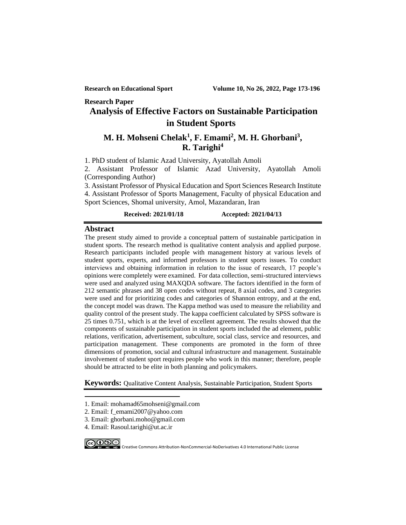#### **Research Paper**

## **Analysis of Effective Factors on Sustainable Participation in Student Sports<sup>1</sup>**

## **M. H. Mohseni Chelak<sup>1</sup> , F. Emami<sup>2</sup> , M. H. Ghorbani<sup>3</sup> , R. Tarighi<sup>4</sup>**

1. PhD student of Islamic Azad University, Ayatollah Amoli

2. Assistant Professor of Islamic Azad University, Ayatollah Amoli (Corresponding Author)

3. Assistant Professor of Physical Education and Sport Sciences Research Institute 4. Assistant Professor of Sports Management, Faculty of physical Education and Sport Sciences, Shomal university, Amol, Mazandaran, Iran

### **Received: 2021/01/18 Accepted: 2021/04/13**

### **Abstract**

The present study aimed to provide a conceptual pattern of sustainable participation in student sports. The research method is qualitative content analysis and applied purpose. Research participants included people with management history at various levels of student sports, experts, and informed professors in student sports issues. To conduct interviews and obtaining information in relation to the issue of research, 17 people's opinions were completely were examined. For data collection, semi-structured interviews were used and analyzed using MAXQDA software. The factors identified in the form of 212 semantic phrases and 38 open codes without repeat, 8 axial codes, and 3 categories were used and for prioritizing codes and categories of Shannon entropy, and at the end, the concept model was drawn. The Kappa method was used to measure the reliability and quality control of the present study. The kappa coefficient calculated by SPSS software is 25 times 0.751, which is at the level of excellent agreement. The results showed that the components of sustainable participation in student sports included the ad element, public relations, verification, advertisement, subculture, social class, service and resources, and participation management. These components are promoted in the form of three dimensions of promotion, social and cultural infrastructure and management. Sustainable involvement of student sport requires people who work in this manner; therefore, people should be attracted to be elite in both planning and policymakers.

**Keywords:** Qualitative Content Analysis, Sustainable Participation, Student Sports

- 1. Email: mohamad65mohseni@gmail.com
- 2. Email: f\_emami2007@yahoo.com
- 3. Email: ghorbani.moho@gmail.com
- 4. Email: Rasoul.tarighi@ut.ac.ir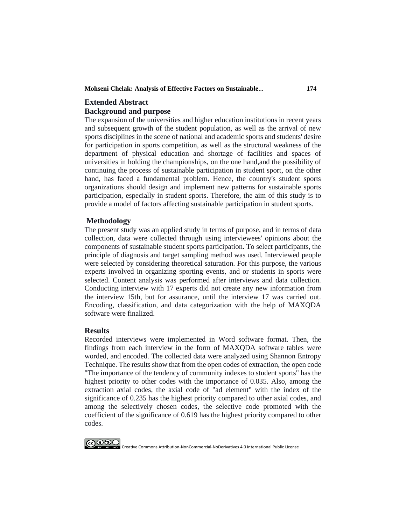**Mohseni Chelak: Analysis of Effective Factors on Sustainable**... **174**

## **Extended Abstract Background and purpose**

The expansion of the universities and higher education institutions in recent years and subsequent growth of the student population, as well as the arrival of new sports disciplines in the scene of national and academic sports and students' desire for participation in sports competition, as well as the structural weakness of the department of physical education and shortage of facilities and spaces of universities in holding the championships, on the one hand,and the possibility of continuing the process of sustainable participation in student sport, on the other hand, has faced a fundamental problem. Hence, the country's student sports organizations should design and implement new patterns for sustainable sports participation, especially in student sports. Therefore, the aim of this study is to provide a model of factors affecting sustainable participation in student sports.

## **Methodology**

The present study was an applied study in terms of purpose, and in terms of data collection, data were collected through using interviewees' opinions about the components of sustainable student sports participation. To select participants, the principle of diagnosis and target sampling method was used. Interviewed people were selected by considering theoretical saturation. For this purpose, the various experts involved in organizing sporting events, and or students in sports were selected. Content analysis was performed after interviews and data collection. Conducting interview with 17 experts did not create any new information from the interview 15th, but for assurance, until the interview 17 was carried out. Encoding, classification, and data categorization with the help of MAXQDA software were finalized.

### **Results**

Recorded interviews were implemented in Word software format. Then, the findings from each interview in the form of MAXQDA software tables were worded, and encoded. The collected data were analyzed using Shannon Entropy Technique. The results show that from the open codes of extraction, the open code "The importance of the tendency of community indexes to student sports" has the highest priority to other codes with the importance of 0.035. Also, among the extraction axial codes, the axial code of "ad element" with the index of the significance of 0.235 has the highest priority compared to other axial codes, and among the selectively chosen codes, the selective code promoted with the coefficient of the significance of 0.619 has the highest priority compared to other codes.

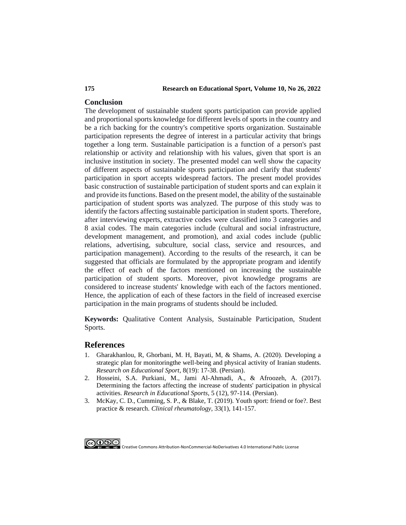### **175 Research on Educational Sport, Volume 10, No 26, 2022**

## **Conclusion**

The development of sustainable student sports participation can provide applied and proportional sports knowledge for different levels of sports in the country and be a rich backing for the country's competitive sports organization. Sustainable participation represents the degree of interest in a particular activity that brings together a long term. Sustainable participation is a function of a person's past relationship or activity and relationship with his values, given that sport is an inclusive institution in society. The presented model can well show the capacity of different aspects of sustainable sports participation and clarify that students' participation in sport accepts widespread factors. The present model provides basic construction of sustainable participation of student sports and can explain it and provide its functions. Based on the present model, the ability of the sustainable participation of student sports was analyzed. The purpose of this study was to identify the factors affecting sustainable participation in student sports. Therefore, after interviewing experts, extractive codes were classified into 3 categories and 8 axial codes. The main categories include (cultural and social infrastructure, development management, and promotion), and axial codes include (public relations, advertising, subculture, social class, service and resources, and participation management). According to the results of the research, it can be suggested that officials are formulated by the appropriate program and identify the effect of each of the factors mentioned on increasing the sustainable participation of student sports. Moreover, pivot knowledge programs are considered to increase students' knowledge with each of the factors mentioned. Hence, the application of each of these factors in the field of increased exercise participation in the main programs of students should be included.

**Keywords:** Qualitative Content Analysis, Sustainable Participation, Student Sports.

## **References**

- 1. [Gharakhanlou, R, Ghorbani, M. H, Bayati, M, & Shams, A. \(2020\). Developing a](https://res.ssrc.ac.ir/article_2001_337645ccf6d91f2a4a845ea35bf14255.pdf)  [strategic plan for monitoringthe well-being and physical activity of Iranian students.](https://res.ssrc.ac.ir/article_2001_337645ccf6d91f2a4a845ea35bf14255.pdf)  *[Research on Educational Sport](https://res.ssrc.ac.ir/article_2001_337645ccf6d91f2a4a845ea35bf14255.pdf)*, 8(19): 17-38. (Persian).
- 2. [Hosseini, S.A. Purkiani, M., Jami Al-Ahmadi, A., & Afroozeh, A. \(2017\).](http://ensani.ir/fa/article/374343/%D8%AA%D8%B9%DB%8C%DB%8C%D9%86-%D8%B9%D9%88%D8%A7%D9%85%D9%84-%D9%85%D8%A4%D8%AB%D8%B1-%D8%A8%D8%B1-%D8%A7%D9%81%D8%B2%D8%A7%DB%8C%D8%B4-%D9%85%D8%B4%D8%A7%D8%B1%DA%A9%D8%AA-%D8%AF%D8%A7%D9%86%D8%B4%D8%AC%D9%88%DB%8C%D8%A7%D9%86-%D8%AF%D8%B1-%D9%81%D8%B9%D8%A7%D9%84%DB%8C%D8%AA-%D9%87%D8%A7%DB%8C-%D8%A8%D8%AF%D9%86%DB%8C)  [Determining the factors affecting the increase of students' participation in physical](http://ensani.ir/fa/article/374343/%D8%AA%D8%B9%DB%8C%DB%8C%D9%86-%D8%B9%D9%88%D8%A7%D9%85%D9%84-%D9%85%D8%A4%D8%AB%D8%B1-%D8%A8%D8%B1-%D8%A7%D9%81%D8%B2%D8%A7%DB%8C%D8%B4-%D9%85%D8%B4%D8%A7%D8%B1%DA%A9%D8%AA-%D8%AF%D8%A7%D9%86%D8%B4%D8%AC%D9%88%DB%8C%D8%A7%D9%86-%D8%AF%D8%B1-%D9%81%D8%B9%D8%A7%D9%84%DB%8C%D8%AA-%D9%87%D8%A7%DB%8C-%D8%A8%D8%AF%D9%86%DB%8C)  activities. *[Research in Educational Sports](http://ensani.ir/fa/article/374343/%D8%AA%D8%B9%DB%8C%DB%8C%D9%86-%D8%B9%D9%88%D8%A7%D9%85%D9%84-%D9%85%D8%A4%D8%AB%D8%B1-%D8%A8%D8%B1-%D8%A7%D9%81%D8%B2%D8%A7%DB%8C%D8%B4-%D9%85%D8%B4%D8%A7%D8%B1%DA%A9%D8%AA-%D8%AF%D8%A7%D9%86%D8%B4%D8%AC%D9%88%DB%8C%D8%A7%D9%86-%D8%AF%D8%B1-%D9%81%D8%B9%D8%A7%D9%84%DB%8C%D8%AA-%D9%87%D8%A7%DB%8C-%D8%A8%D8%AF%D9%86%DB%8C)*, 5 (12), 97-114. (Persian).
- 3. [McKay, C. D., Cumming, S. P., & Blake, T. \(2019\). Youth sport: friend or foe?. Best](https://www.sciencedirect.com/science/article/abs/pii/S152169421930018X?via%3Dihub)  practice & research. *[Clinical rheumatology](https://www.sciencedirect.com/science/article/abs/pii/S152169421930018X?via%3Dihub)*, 33(1), 141-157.

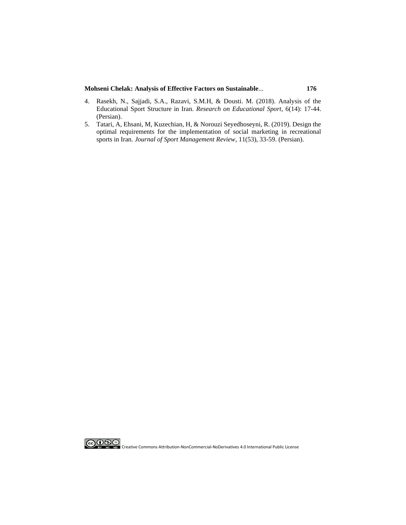#### **Mohseni Chelak: Analysis of Effective Factors on Sustainable**... **176**

- 4. [Rasekh, N., Sajjadi, S.A., Razavi, S.M.H, & Dousti. M. \(2018\). Analysis of the](https://res.ssrc.ac.ir/article_1184_6c6a022936caae12f567eba6627d8415.pdf)  Educational Sport Structure in Iran. *[Research on Educational Sport](https://res.ssrc.ac.ir/article_1184_6c6a022936caae12f567eba6627d8415.pdf)*, 6(14): 17-44. [\(Persian\).](https://res.ssrc.ac.ir/article_1184_6c6a022936caae12f567eba6627d8415.pdf)
- 5. [Tatari, A, Ehsani, M, Kuzechian, H, & Norouzi Seyedhoseyni, R. \(2019\). Design the](https://www.magiran.com/paper/1985084)  [optimal requirements for the implementation of social marketing in recreational](https://www.magiran.com/paper/1985084)  sports in Iran. *[Journal of Sport Management Review](https://www.magiran.com/paper/1985084)*, 11(53), 33-59. (Persian).



**CO OSS**<br>By No. No. Creative Commons Attribution-NonCommercial-NoDerivatives 4.0 International Public License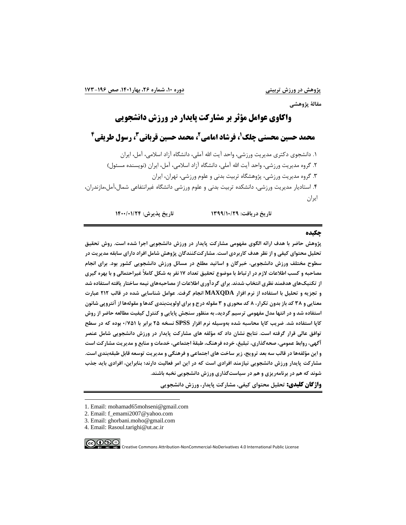**مقالة پژوهشی**

# **واكاوي عوامل مؤثر بر مشاركت پایدار در ورزش دانشجویی**

**، فرشاد امامی <sup>1</sup> محمد حسین محسنی چلک 3 ، محمد حسین قربانی <sup>2</sup> 4 ، رسول طریقی** 

۱. دانشجوی دکتری مدیریت ورزشی، واحد آیت الله آملی، دانشگاه آزاد اسلامی، آمل، ایران .<br>۲. گروه مدیریت ورزشی، واحد آیت الله آملی، دانشگاه آزاد اسلامی، آمل، ایران (نویسنده مسئول) .3 گروه مدیریت ورزشی، پژوهشگاه تربیت بدنی و علوم ورزشی، تهران، ایران .4 استادیار مدیریت ورزشی، دانشکده تربیت بدنی و علوم ورزشی دانشگاه غیرانتفاعی شمال،آمل،مازندران، ایران

**تاريخ دريافت: /10/29 1399 تاريخ پذيرش: 1400/01/24** 

#### **چکیده**

**پژوهش حاضر با هدف ارائه الگوی مفهومی مشارکت پايدار در ورزش دانشجويی اجرا شده است. روش تحقیق تحلیل محتوای کیفی و از نظر هدف کاربردی است. مشارکتکنندگان پژوهش شامل افراد دارای سابقه مديريت در سطوح مختلف ورزش دانشجويی، خبرگان و اساتید مطلع در مسائل ورزش دانشجويی کشور بود. برای انجام مصاحبه و کسب اطالعات الزم در ارتباط با موضوع تحقیق تعداد 17 نفر به شکل کامالً غیراحتمالی و با بهره گیری از تکنیکهای هدفمند نظری انتخاب شدند. برای گردآوری اطالعات از مصاحبههای نیمه ساختار يافته استفاده شد و تجزيه و تحلیل با استفاده از نرم افزار MAXQDA انجام گرفت. عوامل شناسايی شده در قالب 212 عبارت معنايی و 38 کد باز بدون تکرار، 8 کد محوری و 3 مقوله درج و برای اولويتبندی کدها و مقولهها از آنتروپی شانون استفاده شد و در انتها مدل مفهومی ترسیم گرديد. به منظور سنجش پايايی و کنترل کیفیت مطالعه حاضر از روش کاپا استفاده شد. ضريب کاپا محاسبه شده بهوسیله نرم افزار SPSS نسخه 25 برابر با /751 0 بوده که در سطح توافق عالی قرار گرفته است. نتايج نشان داد که مؤلفه های مشارکت پايدار در ورزش دانشجويی شامل عنصر آگهی، روابط عمومی، صحهگذاری، تبلیغ، خرده فرهنگ، طبقة اجتماعی، خدمات و منابع و مديريت مشارکت است و اين مؤلفهها در قالب سه بعد ترويج، زير ساخت های اجتماعی و فرهنگی و مديريت توسعه قابل طبقهبندی است. مشارکت پايدار ورزش دانشجويی نیازمند افرادی است که در اين امر فعالیت دارند؛ بنابراين، افرادی بايد جذب شوند که هم در برنامهريزی و هم در س یاستگذاری ورزش دانشجويی نخبه باشند.**

**واژگان كلیدي: تحلیل محتوای کیفی، مشارکت پايدار، ورزش دانشجويی**

∣⊚⊕⊛⊜

<sup>1.</sup> Email: mohamad65mohseni@gmail.com

<sup>2.</sup> Email: f\_emami2007@yahoo.com

<sup>3.</sup> Email: ghorbani.moho@gmail.com

<sup>4.</sup> Email: Rasoul.tarighi@ut.ac.ir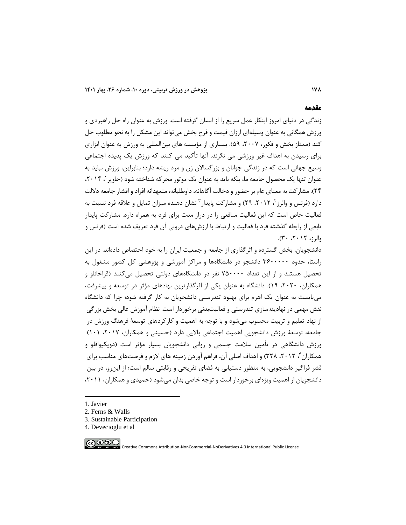#### **مقدمه**

زندگی در دنیای امروز ابتکار عمل سریع را از انسان گرفته است. ورزش به عنوان راه حل راهبردی و ورزش همگانی به عنوان وسیلهای ارزان قیمت و فرح بخش میتواند این مشکل را به نحو مطلوب حل کند (ممتاز بخش و فکور، ۲۰۰۷، ۵۹). بسیاری از مؤسسه های بینالمللی به ورزش به عنوان ابزاری برای رسیدن به اهداف غیر ورزشی می نگرند. آنها تأکید می کنند که ورزش یک پدیده اجتماعی وسیع جهانی است که در زندگی جوانان و بزرگساالن زن و مرد ریشه دارد؛ بنابراین، ورزش نباید به عنوان تنها یک محصول جامعه ما، بلکه باید به عنوان یک موتور محرکه شناخته شود (جاویر '، ۲۰۱۴، 24(. مشارکت به معنای عام بر حضور و دخالت آگاهانه، داوطلبانه، متعهدانه افراد و اقشار جامعه داللت دارد (فرنس و والرز<sup>۲</sup>، ۲۰۱۲، ۲۹) و مشارکت پایدار ۳ نشان دهنده میزان تمایل و علاقه فرد نسبت به فعالیت خاص است که این فعالیت منافعی را در دراز مدت برای فرد به همراه دارد. مشارکت پ ایدار تابعی از رابطه گذشته فرد با فعالیت و ارتباط با ارزشهای درونی آن فرد تعریف شده است )فرنس و  $(1, 2)$ والرز،  $2 \cdot 17 \cdot 7$ .

دانشجویان، بخش گسترده و اثرگذاری از جامعه و جمعیت ایران را به خود اختصاص دادهاند. در این راستا، حدود 3600000 دانشجو در دانشگاه ها و مراکز آموزشی و پژوهشی کل کشور مشغول به تحصیل هستند و از این تعداد 750000 نفر در دانشگاههای دولتی تحصیل می کنند ) قراخانلو و همکاران، ،2020 19(. دانشگاه به عنوان یکی از اثرگذارترین نهادهای مؤثر در توسعه و پیشرفت، میبایست به عنوان یک اهرم برای بهبود تندرستی دانشجویان به کار گرفته شود؛ چرا که دانشگاه نقش مهمی در نهادینهسازی تندرستی و فعالیتبدنی برخوردار است. نظام آموزش عالی بخش بزرگی از نهاد تعلیم و تربیت محسوب میشود و با توجه به اهمیت و کارکردهای توسعة فرهنگ ورزش در جامعه، توسعهٔ ورزش دانشجویی اهمیت اجتماعی بالایی دارد (حسینی و همکاران، ۲۰۱۷، ۱۰۱) ورزش دانشگاهی در تأمین سالمت جسمی و روانی دانشجویان بسیار مؤثر است )دویکیواقلو و همکاران ٔ، ۲۰۱۲، ۳۲۸) و اهداف اصلی آن، فراهم آوردن زمینه های لازم و فرصتهای مناسب برای قشر فراگیر دانشجویی، به منظور دستیابی به فضای تفریحی و رقابتی سالم است؛ از اینرو، در بین دانشجویان از اهمیت ویژهای برخوردار است و توجه خاصی بدان می شود (حمیدی و همکاران، ۲۰۱۱،

1. Javier

- 3. Sustainable Participation
- 4. Devecioglu et al



<sup>2.</sup> Ferns & Walls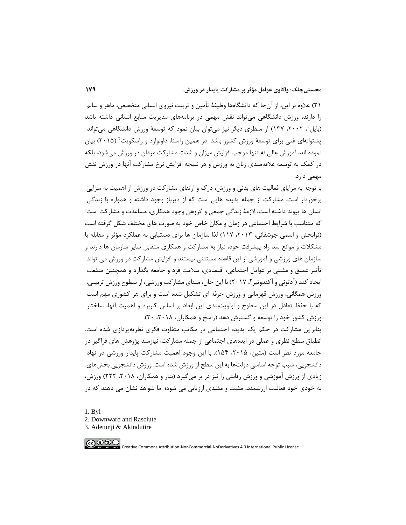21( عالوه بر این، از آنجا که دانشگاهها وظیفة تأمین و تربیت نیروی انسانی متخصص، ماهر و سالم را دارند، ورزش دانشگاهی میتواند نقش مهمی در برنامههای مدیریت منابع انسانی داشته باشد (بایل ، ۲۰۰۲، ۱۳۷) از منظری دیگر نیز می توان بیان نمود که توسعهٔ ورزش دانشگاهی می تواند پشتوانهای غنی برای توسعهٔ ورزش کشور باشد. در همین راستا، داونوارد و راسکویت ٔ (۲۰۱۵) بیان نموده اند، آموزش عالی نه تنها موجب افزایش میزان و شدت مشارکت مردان در ورزش میشود، بلکه در کمک به توسعه عالقهمندی زنان به ورزش و در نتیجه افزایش نرخ مشارکت آنها در ورزش نقش مهمی دارد.

با توجه به مزایای فعالیت های بدنی و ورزش، درک و ارتقای مشارکت در ورزش از اهمیت به سزایی برخوردار است. مشارکت از جمله پدیده هایی است که از دیرباز وجود داشته و همواره با زندگی انسان ها پیوند داشته است، الزمة زندگی جمعی و گروهی وجود همکاری، مساعدت و مشارکت است که متناسب با شرایط اجتماعی در زمان و مکان خاص خود به صورت های مختلف شکل گرفته است )نوابخش و اسمی جوشقانی، ،2013 117( لذا سازمان ها برای دستیابی به عملکرد مؤثر و مقابله با مشکالت و موانع سد راه پیشرفت خود، نیاز به مشارکت و همکاری متقابل سایر سازمان ها دارند و سازمان های ورزشی و آموزشی از این قاعده مستثنی نیستند و افزایش مشارکت در ورزش می تواند تأثیر عمیق و مثبتی بر عوامل اجتماعی، اقتصادی، سالمت فرد و جامعه بگذارد و همچنین منفعت یجاد کند (آدتونی و اکندوتیر ۳ ، ۲۰۱۷) با این حال، مبنای مشارکت ورزشی، از سطوح ورزش تربیتی، ورزش همگانی، ورزش قهرمانی و ورزش حرفه ای تشکیل شده است و برای هر کشوری مهم است که با حفظ تعادل در این سطوح و اولویتبندی این ابعاد بر اساس کاربرد و اهمیت آنها، ساختار ورزش کشور خود را توسعه و گسترش دهد (راسخ و همکاران، ۲۰۱۸، ۲۰).

بنابراین مشارکت در حکم یک پدیده اجتماعی در مکاتب متفاوت فکری نظریهپردازی شده است. انطباق سطح نظری و عملی در ایدههای اجتماعی از جمله مشارکت، نیازمند پژوهش های فراگیر در جامعه مورد نظر است (متین، ۲۰۱۵، ۱۵۴). با این وجود اهمیت مشارکت پایدار ورزشی در نهاد دانشجویی، سبب توجه اساسی دولتها به این سطح از ورزش شده است. ورزش دانشجویی بخشهای زیادی از ورزش آموزشی و ورزش رقابتی را نیز در بر میگیرد )بنار و همکاران، ،2018 222( ورزش، به خودی خود فعالیت ارزشمند، مثبت و مفیدی ارزیابی می شود؛ اما شواهد نشان می دهند که در

- 1. Byl
- 2. Downward and Rasciute
- 3. Adetunji & Akindutire

∣⊚⊕⊛⊜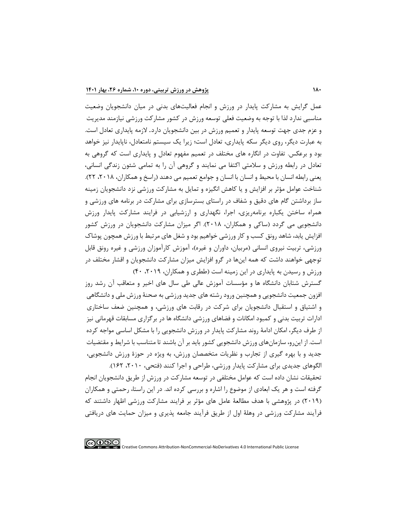عمل گرایش به مشارکت پایدار در ورزش و انجام فعالیتهای بدنی در میان دانشجویان وضعیت مناسبی ندارد لذا با توجه به وضعیت فعلی توسعه ورزش در کشور مشارکت ورزشی نیازمند مدیریت و عزم جدی جهت توسعه پایدار و تعمیم ورزش در بین دانشجویان دارد. الزمه پایدارى تعادل است. به عبارت دیگر، روى دیگر سکه پایدارى، تعادل است؛ زیرا یک سیستم نامتعادل، ناپایدار نیز خواهد بود و برعکس. تفاوت در انگاره هاى مختلف در تعمیم مفهوم تعادل و پایدارى است که گروهى به تعادل در رابطه ورزش و سالمتی اکتفا مى نمایند و گروهى آن را به تمامى شئون زندگى انسانى، یعنی رابطه انسان با محیط و انسان با انسان و جوامع تعمیم مى دهند (راسخ و همکاران، ۲۰۱۸، ۲۲). شناخت عوامل مؤثر بر افزایش و یا کاهش انگیزه و تمایل به مشارکت ورزشی نزد دانشجویان زمینه ساز برداشتن گام های دقیق و شفاف در راستای بسترسازی برای مشارکت در برنامه های ورزشی و همراه ساختن یکباره برنامهریزی، اجرا، نگهداری و ارزشیابی در فرایند مشارکت پایدار ورزش دانشجویی می گردد )ساکی و همکاران، 2018(. اگر میزان مشارکت دانشجویان در ورزش کشور افزایش یابد، شاهد رونق کسب و کار ورزشی خواهیم بود و شغل های مرتبط با ورزش همچون پوشاک ورزشی، تربیت نیروی انسانی (مربیان، داوران و غیره)، آموزش کارآموزان ورزشی و غیره رونق قابل توجهی خواهند داشت که همه اینها در گرو افزایش میزان مشارکت دانشجویان و اقشار مختلف در ورزش و رسیدن به پایداری در این زمینه است (ططری و همکاران، ۲۰۱۹، ۴۰)

گسترش شتابان دانشگاه ها و مؤسسات آموزش عالی طی سال های اخیر و متعاقب آن رشد روز افزون جمعیت دانشجویی و همچنین ورود رشته های جدید ورزشی به صحنة ورزش ملی و دانشگاهی و اشتیاق و استقبال دانشجویان برای شرکت در رقابت های ورزشی، و همچنین ضعف ساختاری ادارات تربیت بدنی و کمبود امکانات و فضاهای ورزشی دانشگاه ها در برگزاری مسابقات قهرمانی نیز از طرف دیگر، امکان ادامة روند مشارکت پایدار در ورزش دانشجویی را با مشکل اساسی مواجه کرده است. از اینرو، سازمانهای ورزش دانشجویی کشور باید بر آن باشند تا متناسب با شرایط و مقتضیات جدید و با بهره گیری از تجارب و نظریات متخصصان ورزش، به ویژه در حوزة ورزش دانشجویی، الگوهای جدیدی برای مشارکت پایدار ورزشی، طراحی و اجرا کنند )فتحی، ،2010 162(.

تحقیقات نشان داده است که عوامل مختلفی در توسعه مشارکت در ورزش از طریق دانشجویان انجام گرفته است و هر یک ابعادی از موضوع را اشاره و بررسی کرده اند. در این راستا، رحمتی و همکاران )2019( در پژوهشی با هدف مطالعة عامل های مؤثر بر فرایند مشارکت ورزشی اظهار داشتند که فرآیند مشارکت ورزشی در وهلة اول از طریق فرآیند جامعه پذیری و میزان حمایت های دریافتی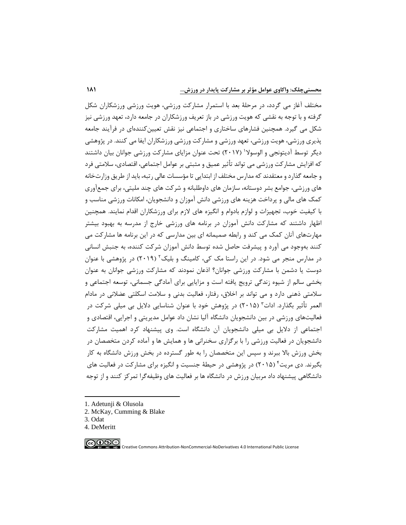مختلف آغاز می گردد، در مرحلة بعد با استمرار مشارکت ورزشی، هویت ورزشی ورزشکاران شکل گرفته و با توجه به نقشی که هویت ورزشی در باز تعریف ورزشکاران در جامعه دارد، تعهد ورزشی نیز شکل می گیرد. همچنین فشارهای ساختاری و اجتماعی نیز نقش تعیینکنندهای در فرآیند جامعه پذیری ورزشی، هویت ورزشی، تعهد ورزشی و مشارکت ورزشی ورزشکاران ایفا می کنند. در پژوهشی دیگر توسط آدیتونجی و الوسولا' (۲۰۱۷) تحت عنوان مزایای مشارکت ورزشی جوانان بیان داشتند که افزایش مشارکت ورزشی می تواند تأثیر عمیق و مثبتی بر عوامل اجتماعی، اقتصادی، سالمتی فرد و جامعه گذارد و معتقدند که مدارس مختلف از ابتدایی تا مؤسسات عالی رتبه، باید از طریق وزارتخانه های ورزشی، جوامع بشر دوستانه، سازمان های داوطلبانه و شرکت های چند ملیتی، برای جمعآوری کمک های مالی و پرداخت هزینه های ورزشی دانش آموزان و دانشجویان، امکانات ورزشی مناسب و با کیفیت خوب، تجهیزات و لوازم بادوام و انگیزه های الزم برای ورزشکاران اقدام نمایند. همچنین اظهار داشتند که مشارکت دانش آموزان در برنامه های ورزشی خارج از مدرسه به بهبود بیشتر مهارتهای آنان کمک می کند و رابطه صمیمانه ای بین مدارسی که در این برنامه ها مشارکت می کنند بهوجود می آورد و پیشرفت حاصل شده توسط دانش آموزان شرکت کننده، به جنبش انسانی در مدارس منجر می شود. در این راستا مک کی، کامینگ و بلیک<sup>۲</sup> (۲۰۱۹) در پژوهشی با عنوان دوست یا دشمن با مشارکت ورزشی جوانان؟ اذعان نمودند که مشارکت ورزشی جوانان به عنوان بخشی سالم از شیوه زندگی ترویج یافته است و مزایایی برای آمادگی جسمانی، توسعه اجتماعی و سالمتی ذهنی دارد و می تواند بر اخالق، رفتار، فعالیت بدنی و سالمت اسکلتی عضالنی در مادام لعمر تأثیر بگذارد. ادات ؓ (۲۰۱۵) در پژوهش خود با عنوان شناسایی دلایل بی میلی شرکت در فعالیتهای ورزشی در بین دانشجویان دانشگاه آلیا نشان داد عوامل مدیریتی و اجرایی، اقتصادی و اجتماعی از دالیل بی میلی دانشجویان آن دانشگاه است. وی پیشنهاد کرد اهمیت مشارکت دانشجویان در فعالیت ورزشی را با برگزاری سخنرانی ها و همایش ها و آماده کردن متخصصان در بخش ورزش باال ببرند و سپس این متخصصان را به طور گسترده در بخش ورزش دانشگاه به کار بگیرند. دی مریت ٔ (۲۰۱۵) در پژوهشی در حیطهٔ جنسیت و انگیزه برای مشارکت در فعالیت های دانشگاهی پیشنهاد داد مربیان ورزش در دانشگاه ها بر فعالیت های وظیفهگرا تمرکز کنند و از توجه

∣⊚⊕⊛⊜

<sup>1.</sup> Adetunji & Olusola

<sup>2.</sup> McKay, Cumming & Blake

<sup>3.</sup> Odat

<sup>4.</sup> DeMeritt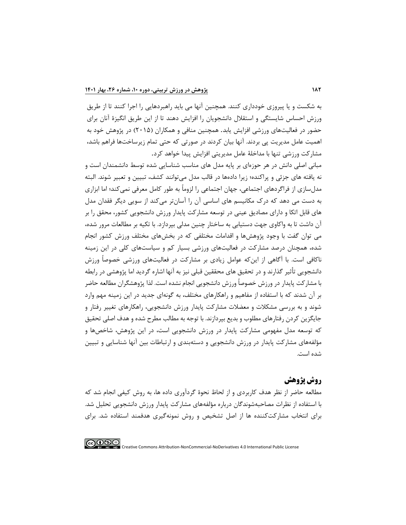به شکست و یا پیروزی خودداری کنند. همچنین آنها می باید راهبردهایی را اجرا کنند تا از طریق ورزش احساس شایستگی و استقالل دانشجویان را افزایش دهند تا از این طریق انگیزة آنان برای حضور در فعالیتهای ورزشی افزایش یابد. همچنین منافی و همکاران )2015( در پژوهش خود به اهمیت عامل مدیریت پی بردند. آنها بیان کردند در صورتی که حتی تمام زیرساختها فراهم باشد، مشارکت ورزشی تنها با مداخلة عامل مدیریتی افزایش پیدا خواهد کرد.

مبانی اصلی دانش در هر حوزهای بر پایه مدل های مناسب شناسایی شده توسط دانشمندان است و نه یافته های جزئی و پراکنده؛ زیرا دادهها در قالب مدل میتوانند کشف، تبیین و تعبیر شوند. البته مدلسازی از فراگردهای اجتماعی، جهان اجتماعی را لزوما به طور کامل معرفی نمیکند؛ اما ابزاری به دست می دهد که درک مکانیسم های اساسی آن را آسانتر میکند از سویی دیگر فقدان مدل های قابل اتکا و دارای مصادیق عینی در توسعه مشارکت پایدار ورزش دانشجویی کشور، محقق را بر آن داشت تا به واکاوی جهت دستیابی به ساختار چنین مدلی بپردازد. با تکیه بر مطالعات مرور شده، می توان گفت با وجود پژوهشها و اقدامات مختلفی که در بخش های مختلف ورزش کشور انجام شده، همچنان درصد مشارکت در فعالیتهای ورزشی بسیار کم و سیاستهای کلی در این زمینه ناکافی است. با آگاهی از اینکه عوامل زیادی بر مشارکت در فعالیتهای ورزشی خصوصا ورزش دانشجویی تأثیر گذارند و در تحقیق های محققین قبلی نیز به آنها اشاره گردید اما پژوهشی در رابطه با مشارکت پایدار در ورزش خصوصا ورزش دانشجویی انجام نشده است. لذا پژوهشگران مطالعه حاضر بر آن شدند که با استفاده از مفاهیم و راهکارهای مختلف، به گونهای جدید در این زمینه مهم وارد شوند و به بررسی مشکالت و معضالت مشارکت پایدار ورزش دانشجویی، راهکارهای تغییر رفتار و جایگزین کردن رفتارهای مطلوب و بدیع بپردازند. با توجه به مطالب مطرح شده و هدف اصلی تحقیق که توسعه مدل مفهومی مشارکت پایدار در ورزش دانشجویی است، در این پژوهش، شاخصها و مؤلفههای مشارکت پایدار در ورزش دانشجویی و دستهبندی و ارتباطات بین آنها شناسایی و تبیین شده است.

## **روش پژوهش**

مطالعه حاضر از نظر هدف کاربردی و از لحاظ نحوة گردآوری داده ها، به روش کیفی انجام شد که با استفاده از نظرات مصاحبهشوندگان درباره مؤلفههای مشارکت پایدار ورزش دانشجویی تحلیل شد. برای انتخاب مشارکتکننده ها از اصل تشخیص و روش نمونهگیری هدفمند استفاده شد. برای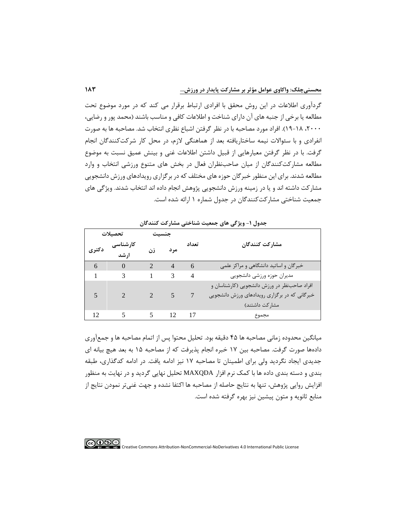گردآوری اطالعات در این روش محقق با افرادی ارتباط برقرار می کند که در مورد موضوع تحت مطالعه یا برخی از جنبه های آن دارای شناخت و اطالعات کافی و مناسب باشند )محمد پور و رضایی، ،2000 19-18(. افراد مورد مصاحبه با در نظر گرفتن اشباع نظری انتخاب شد. مصاحبه ها به صورت انفرادی و با سئواالت نیمه ساختاریافته بعد از هماهنگی الزم، در محل کار شرکتکنندگان انجام گرفت. با در نظر گرفتن معیارهایی از قبیل داشتن اطالعات غنی و بینش عمیق نسبت به موضوع مطالعه مشارکتکنندگان از میان صاحبنظران فعال در بخش های متنوع ورزشی انتخاب و وارد مطالعه شدند. برای این منظور خبرگان حوزه های مختلف که در برگزاری رویدادهای ورزش دانشجویی مشارکت داشته اند و یا در زمینه ورزش دانشجویی پژوهش انجام داده اند انتخاب شدند. ویژگی های جمعیت شناختی مشارکتکنندگان در جدول شماره 1 ارائه شده است.

| تحصيلات |                  | جنسيت          |                |                |                                               |
|---------|------------------|----------------|----------------|----------------|-----------------------------------------------|
| دكترى   | کارشناسی<br>ارشد | زن             | مرد            | تعداد          | مشاركت كنندگان                                |
|         |                  |                |                |                |                                               |
| 6       | $\theta$         | $\mathcal{L}$  | $\overline{4}$ | 6              | خبرگان و اساتید دانشگاهی و مراکز علمی         |
| 1       | 3                | $\mathbf{1}$   | 3              | $\overline{4}$ | مديران حوزه ورزشي دانشجويي                    |
|         |                  |                |                |                | افراد صاحب نظر در ورزش دانشجويي (كارشناسان و  |
|         |                  | $\overline{2}$ | 5.             |                | خبرگانی که در برگزاری رویدادهای ورزش دانشجویی |
|         |                  |                |                |                | مشار کت داشتند)                               |
| 12      |                  | 5 <sup>5</sup> | 12             | -17            | مجموع                                         |

**جدول -1 ويژگی های جمعیت شناختی مشارکت کنندگان** 

میانگین محدوده زمانی مصاحبه ها 45 دقیقه بود. تحلیل محتوا پس از اتمام مصاحبه ها و جمعآوری دادهها صورت گرفت. مصاحبه بین 17 خبره انجام پذیرفت که از مصاحبه 15 به بعد هیچ بیانه ای جدیدی ایجاد نگردید ولی برای اطمینان تا مصاحبه 17 نیز ادامه یافت. در ادامه کدگذاری، طبقه بندی و دسته بندی داده ها با کمک نرم افزار MAXQDA تحلیل نهایی گردید و در نهایت به منظور افزایش روایی پژوهش، تنها به نتایج حاصله از مصاحبه ها اکتفا نشده و جهت غنیتر نمودن نتایج از منابع ثانویه و متون پیشین نیز بهره گرفته شده است.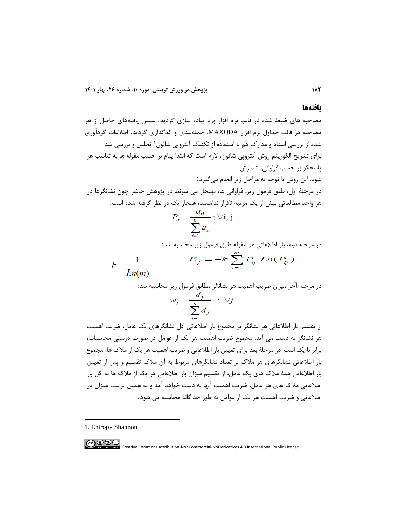#### **یافتهها**

مصاحبه های ضبط شده در قالب نرم افزار ورد پیاده سازی گردید . سپس یافتههای حاصل از هر مصاحبه در قالب جداول نرم افزار MAXQDA، جملهبندی و کدگذاری گردید. اطالعات گردآوری <sup>1</sup> تحلیل شده از بررسی اسناد و مدارک هم با استفاده از تکنیک آنتروپی شانون و بررسی شد. برای تشریح الگوریتم روش آنتروپی شانون، الزم است که ابتدا پیام بر حسب مقوله ها به تناسب هر پاسخگو بر حسب فراوانی، شمارش شود. این روش با توجه به مراحل زیر انجام میگیرد: در مرحلة اول، طبق فرمول زیر، فراوانی ها، بهنجار می شوند. در پژوهش حاضر چون نشانگرها در هر واحد مطالعاتی بیش از یک مرتبه تکرار نداشتند، هنجار یک در نظر گرفته شده است.

$$
P_{ij} = \frac{a_{ij}}{\sum_{i=1}^{n} a_{ij}}; \forall i, j
$$

در مرحله دوم، بار اطالعاتی هر مقوله طبق فرمول زیر محاسبه شد:

$$
k = \frac{1}{Ln(m)} \qquad E_j = -k \cdot \sum_{i=1}^{m} P_{ij} \cdot Ln(P_{ij})
$$

در مرحله آخر میزان ضریب اهمیت هر نشانگر مطابق فرمول زیر محاسبه شد:

$$
w_j = \frac{d_j}{\sum_{j=1}^n d_j} \quad ; \quad \forall j
$$

از تقسیم بار اطالعاتی هر نشانگر بر مجموع بار اطالعاتی کل نشانگرهای یک عامل، ضریب اهمیت هر نشانگر به دست می آید. مجموع ضریب اهمیت هر یک از عوامل در صورت درستی محاسبات، برابر با یک است. در مرحلة بعد برای تعیین بار اطالعاتی و ضریب اهمیت هر یک از مالک ها، مجموع بار اطالعاتی نشانگرهای هر مالک بر تعداد نشانگرهای مربوط به آن مالک تقسیم و پس از تعیین بار اطالعاتی همة مالک های یک عامل، از تقسیم میزان بار اطالعاتی هر یک از مالک ها به کل بار اطالعاتی مالک های هر عامل، ضریب اهمیت آنها به دست خواهد آمد و به همین ترتیب میزان بار اطالعاتی و ضریب اهمیت هر یک از عوامل به طور جداگانه محاسبه می شود.

1. Entropy Shannon

**COOS C**<br>**EXPLICITED** Creative Commons Attribution-NonCommercial-NoDerivatives 4.0 International Public License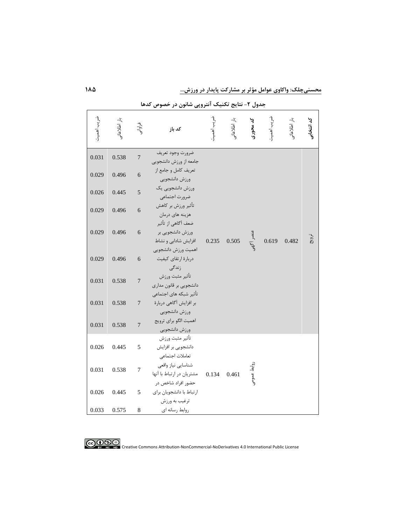**محسنیچلک: واکاوی عوامل مؤثر بر مشارکت پايدار در ورزش...** 

| ضريب اهميت | بار اطلاعاتی | فراوانى          | كد باز                                                             | ضريب اهمينا | بار اطلاعاتی<br>. | کد محوری    | ضريب اهمين | بار اطلاعاتی<br>. | كد انتخابى |
|------------|--------------|------------------|--------------------------------------------------------------------|-------------|-------------------|-------------|------------|-------------------|------------|
| 0.031      | 0.538        | $\overline{7}$   | ضرورت وجود تعريف<br>جامعه از ورزش دانشجويي                         |             |                   |             |            |                   |            |
| 0.029      | 0.496        | $\overline{6}$   | تعريف كامل و جامع از<br>ورزش دانشجويي                              |             |                   |             |            |                   |            |
| 0.026      | 0.445        | 5                | ورزش دانشجويي يک<br>ضرورت اجتماعي                                  |             |                   |             |            |                   |            |
| 0.029      | 0.496        | 6                | تأثير ورزش بر كاهش<br>هزينه هاي درمان                              |             |                   |             |            |                   |            |
| 0.029      | 0.496        | 6                | ضعف آگاهی از تأثیر<br>ورزش دانشجویی بر<br>افزایش شادابی و نشاط     | 0.235       | 0.505             | عنصر أكهى   | 0.619      | 0.482             | ترويج      |
| 0.029      | 0.496        | 6                | اهميت ورزش دانشجويي<br>دربارة ارتقاي كيفيت<br>زندگی                |             |                   |             |            |                   |            |
| 0.031      | 0.538        | $\boldsymbol{7}$ | تأثير مثبت ورزش<br>دانشجويي بر قانون مداري                         |             |                   |             |            |                   |            |
| 0.031      | 0.538        | $\overline{7}$   | تأثير شبكه هاى اجتماعى<br>بر افزایش آگاهی دربارهٔ<br>ورزش دانشجويي |             |                   |             |            |                   |            |
| 0.031      | 0.538        | $\boldsymbol{7}$ | اهميت الگو براي ترويج<br>ورزش دانشجويي                             |             |                   |             |            |                   |            |
| 0.026      | 0.445        | 5                | تأثير مثبت ورزش<br>دانشجویی بر افزایش<br>تعاملات اجتماعي           |             |                   |             |            |                   |            |
| 0.031      | 0.538        | $\overline{7}$   | شناسايي نياز واقعى<br>مشتريان در ارتباط با آنها                    | 0.134       | 0.461             | روابط عمومى |            |                   |            |
| 0.026      | 0.445        | 5                | حضور افراد شاخص در<br>ارتباط با دانشجويان براي<br>ترغيب به ورزش    |             |                   |             |            |                   |            |
| 0.033      | 0.575        | 8                | روابط رسانه ای                                                     |             |                   |             |            |                   |            |

**کد محوری** بار اطالعاتی ضریب اهمیت **جدول -2 نتايج تکنیک آنتروپی شانون در خصوص کدها** 



CO **O S S**<br>By NG NO Creative Commons Attribution-NonCommercial-NoDerivatives 4.0 International Public License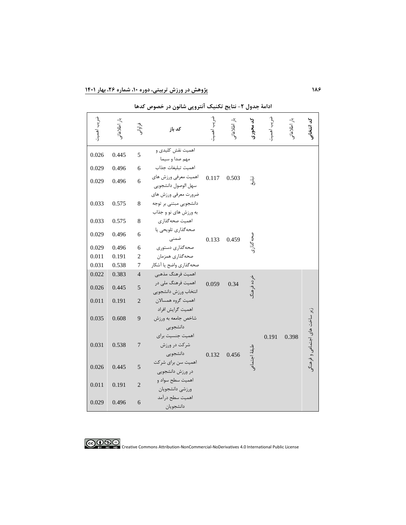| ضريب اهميت | بار اطلاعاتج | فراوانى        | كد باز                                                                  | ضر يب اهمين | بار اطلاعاتو | کد محوری      | ضريب اهمين | بار اطلاعاتی | کد انتخابی                    |
|------------|--------------|----------------|-------------------------------------------------------------------------|-------------|--------------|---------------|------------|--------------|-------------------------------|
| 0.026      | 0.445        | 5              | اهمیت نقش کلیدی و<br>مهم صدا و سیما                                     |             |              |               |            |              |                               |
| 0.029      | 0.496        | 6              | اهميت تبليغات جذاب                                                      |             |              |               |            |              |                               |
| 0.029      | 0.496        | 6              | اهميت معرفي ورزش هاي<br>سهل الوصول دانشجويي                             | 0.117       | 0.503        | $\frac{1}{2}$ |            |              |                               |
| 0.033      | 0.575        | 8              | ضرورت معرفي ورزش هاى<br>دانشجويي مبتنى بر توجه<br>به ورزش های نو و جذاب |             |              |               |            |              |                               |
| 0.033      | 0.575        | 8              | اهميت صحه گذاري                                                         |             |              |               |            |              |                               |
| 0.029      | 0.496        | 6              | صحهگذاري تلويحي يا<br>ضمنى                                              | 0.133       | 0.459        |               |            |              |                               |
| 0.029      | 0.496        | 6              | صحه گذاري دستوري                                                        |             |              |               |            |              |                               |
| 0.011      | 0.191        | $\overline{c}$ | صحهگذاري همزمان                                                         |             |              |               |            |              |                               |
| 0.031      | 0.538        | 7              | صحه گذاري واضح يا أشكار                                                 |             |              |               |            |              |                               |
| 0.022      | 0.383        | $\overline{4}$ | اهميت فرهنگ مذهبي                                                       |             |              |               |            |              |                               |
| 0.026      | 0.445        | 5              | اهمیت فرهنگ ملی در<br>انتخاب ورزش دانشجويي                              | 0.059       | 0.34         | خرده فرهنگ    |            |              |                               |
| 0.011      | 0.191        | $\mathbf{2}$   | اهميت گروه همسالان<br>اهميت گرايش افراد                                 |             |              |               |            |              |                               |
| 0.035      | 0.608        | 9              | شاخص جامعه به ورزش<br>دانشجويي<br>اهميت جنسيت براي                      |             |              |               | 0.191      | 0.398        | زیر ساخت های اجتماعی و فرهنگر |
| 0.031      | 0.538        | $\overline{7}$ | شرکت در ورزش<br>دانشجويي                                                | 0.132       | 0.456        | بلنقة اجتماعو |            |              |                               |
| 0.026      | 0.445        | 5              | اهمیت سن برای شرکت<br>در ورزش دانشجويي                                  |             |              |               |            |              |                               |
| 0.011      | 0.191        | $\overline{2}$ | اهميت سطح سواد و<br>ورزشي دانشجويان                                     |             |              |               |            |              |                               |
| 0.029      | 0.496        | 6              | اهميت سطح درآمد<br>دانشجويان                                            |             |              |               |            |              |                               |

ضریب اهمیت **کد محوری** بار اطالعاتی ضریب اهمیت **ادامة جدول -2 نتايج تکنیک آنتروپی شانون در خصوص کدها**

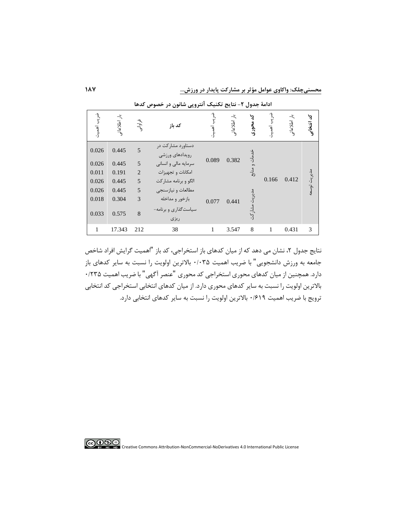**محسنیچلک: واکاوی عوامل مؤثر بر مشارکت پايدار در ورزش...** 

|                        |              |                | ັ້<br>رن ر<br>رر بن                  |                             | تت           | . رن           |       |              |              |
|------------------------|--------------|----------------|--------------------------------------|-----------------------------|--------------|----------------|-------|--------------|--------------|
| ه<br>محمد<br>آھي.<br>آ | بار اطلاعاتی | فراواتى        | كد باز                               | $\boldsymbol{\rho}$ .<br>٠) | بار اطلاعاتو | ৸<br>محورى     | ٠J    | بار اطلاعاتی | كد انتخابی   |
| 0.026                  | 0.445        | 5              | دستاورد مشارکت در<br>رويدادهاى ورزشى |                             |              | ۰Ŋ<br>ۇ_<br>ز: |       |              |              |
| 0.026                  | 0.445        | 5              | سرمايه مالي و انساني                 | 0.089                       | 0.382        |                |       |              |              |
| 0.011                  | 0.191        | $\overline{2}$ | امكانات و تجهيزات                    |                             |              | $\frac{3}{2}$  |       |              |              |
| 0.026                  | 0.445        | 5              | الگو و برنامه مشارکت                 |                             |              |                | 0.166 | 0.412        | مديريت توسعه |
| 0.026                  | 0.445        | 5              | مطالعات و نيازسنجي                   |                             |              |                |       |              |              |
| 0.018                  | 0.304        | 3              | بازخور و مداخله                      | 0.077                       | 0.441        | مد<br>از<br>ا  |       |              |              |
| 0.033                  | 0.575        | 8              | سیاستگذاری و برنامه-<br>ریزی         |                             |              | مشاركت         |       |              |              |
| 1                      | 17.343       | 212            | 38                                   | 1                           | 3.547        | 8              | 1     | 0.431        | 3            |

ضریب اهمیت **کد محوری** بار اطالعاتی ضریب اهمیت **ادامة جدول -2 نتايج تکنیک آنتروپی شانون در خصوص کدها**

نتایج جدول ۲، نشان می دهد که از میان کدهای باز استخراجی، کد باز "اهمیت گرایش افراد شاخص جامعه به ورزش دانشجویی" با ضریب اهمیت 0/035 باالترین اولویت را نسبت به سایر کدهای باز دارد. همچنین از میان کدهای محوری استخراجی کد محوری "عنصر آگهی" با ضریب اهمیت ۱۲۳۵۰ باالترین اولویت را نسبت به سایر کدهای محوری دارد. از میان کدهای انتخابی استخراجی کد انتخابی ترویج با ضریب اهمیت 0/619 باالترین اولویت را نسبت به سایر کدهای انتخابی دارد.

**COOS C**<br>**EXPLICITED** Creative Commons Attribution-NonCommercial-NoDerivatives 4.0 International Public License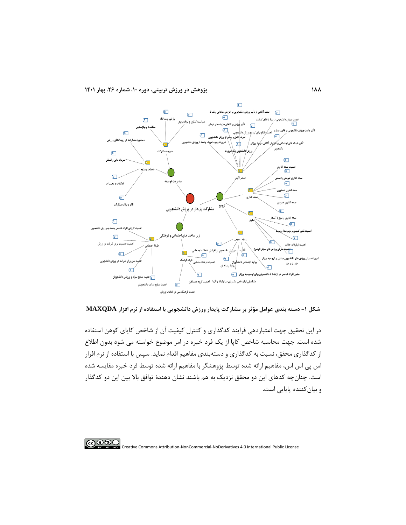

**شکل -1 دسته بندی عوامل مؤثر بر مشارکت پايدار ورزش دانشجويی با استفاده از نرم افزار MAXQDA**

در این تحقیق جهت اعتباردهی فرایند کدگذاری و کنترل کیفیت آن از شاخص کاپای کوهن استفاده شده است. جهت محاسبه شاخص کاپا از یک فرد خبره در امر موضوع خواسته می شود بدون اطالع از کدگذاری محقق، نسبت به کدگذاری و دستهبندی مفاهیم اقدام نماید. سپس با استفاده از نرم افزار اس پی اس اس، مفاهیم ارائه شده توسط پژوهشگر با مفاهیم ارائه شده توسط فرد خبره مقایسه شده است. چنانچه کدهای این دو محقق نزدیک به هم باشند نشان دهندة توافق باال بین این دو کدگذار و بیانکننده پایایی است.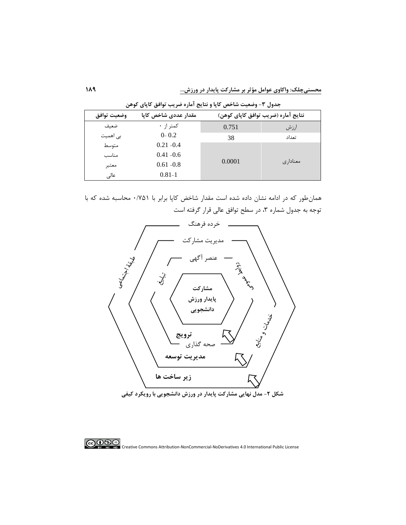| وضعيت توافق | مقدار عددی شاخص کایا | نتايج آماره (ضريب توافق كاپاي كوهن) |          |  |  |  |
|-------------|----------------------|-------------------------------------|----------|--|--|--|
| ضعيف        | کمتر از ۰            | 0.751                               | ارزش     |  |  |  |
| بی اهمیت    | $0 - 0.2$            | 38                                  | تعداد    |  |  |  |
| متوسط       | $0.21 - 0.4$         |                                     |          |  |  |  |
| مناسب       | $0.41 - 0.6$         |                                     |          |  |  |  |
| معتبر       | $0.61 - 0.8$         | 0.0001                              | معناداری |  |  |  |
| عالی        | $0.81 - 1$           |                                     |          |  |  |  |

**جدول -3 وضعیت شاخص کاپا و نتايج آماره ضريب توافق کاپای کوهن** 

همانطور که در ادامه نشان داده شده است مقدار شاخض کاپا برابر با 0/751 محاسبه شده که با توجه به جدول شماره ۳، در سطح توافق عالی قرار گرفته است





**COOS C**<br>**EXECRED COMMONS Attribution-NonCommercial-NoDerivatives 4.0 International Public License**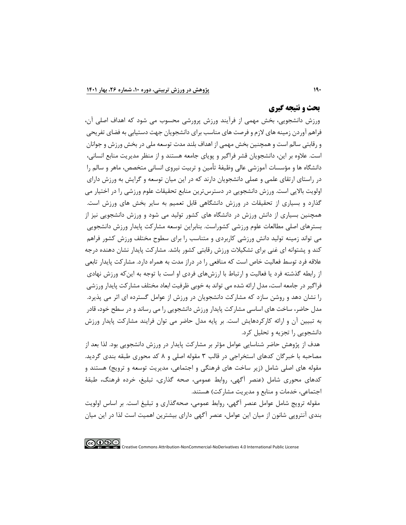## **بحث و نتیجه گیري**

ورزش دانشجویی، بخش مهمی از فرآیند ورزش پرورشی محسوب می شود که اهداف اصلی آن، فراهم آوردن زمینه های الزم و فرصت های مناسب برای دانشجویان جهت دستیابی به فضای تفریحی و رقابتی سالم است و همچنین بخش مهمی از اهداف بلند مدت توسعه ملی در بخش ورزش و جوانان است. عالوه بر این، دانشجویان قشر فراگیر و پویای جامعه هستند و از منظر مدیریت منابع انسانی، دانشگاه ها و مؤسسات آموزشی عالی وظیفة تأمین و تربیت نیروی انسانی متخصص، ماهر و سالم را در راستای ارتقای علمی و عملی دانشجویان دارند که در این میان توسعه و گرایش به ورزش دارای اولویت باالیی است. ورزش دانشجویی در دسترسترین منابع تحقیقات علوم ورزشی را در اختیار می گذارد و بسیاری از تحقیقات در ورزش دانشگاهی قابل تعمیم به سایر بخش های ورزش است. همچنین بسیاری از دانش ورزش در دانشگاه های کشور تولید می شود و ورزش دانشجویی نیز از بسترهای اصلی مطالعات علوم ورزشی کشوراست. بنابراین توسعه مشارکت پایدار ورزش دانشجویی می تواند زمینه تولید دانش ورزشی کاربردی و متناسب را برای سطوح مختلف ورزش کشور فراهم کند و پشتوانه ای غنی برای تشکیالت ورزش رقابتی کشور باشد. مشارکت پایدار نشان دهنده درجه عالقه فرد توسط فعالیت خاص است که منافعی را در دراز مدت به همراه دارد. مشارکت پایدار تابعی از رابطه گذشته فرد یا فعالیت و ارتباط با ارزشهای فردی او است با توجه به اینکه ورزش نهادی فراگیر در جامعه است، مدل ارائه شده می تواند به خوبی ظرفیت ابعاد مختلف مشارکت پایدار ورزشی را نشان دهد و روشن سازد که مشارکت دانشجویان در ورزش از عوامل گسترده ای اثر می پذیرد. مدل حاضر، ساخت های اساسی مشارکت پایدار ورزش دانشجویی را می رساند و در سطح خود، قادر به تبیین آن و ارائه کارکردهایش است. بر پایه مدل حاضر می توان فرایند مشارکت پایدار ورزش دانشجویی را تجزیه و تحلیل کرد.

هدف از پژوهش حاضر شناسایی عوامل مؤثر بر مشارکت پایدار در ورزش دانشجویی بود. لذا بعد از مصاحبه با خبرگان کدهای استخراجی در قالب 3 مقوله اصلی و 8 کد محوری طبقه بندی گردید. مقوله های اصلی شامل (زیر ساخت های فرهنگی و اجتماعی، مدیریت توسعه و ترویج) هستند و کدهای محوری شامل )عنصر آگهی، روابط عمومی، صحه گذاری، تبلیغ، خرده فرهنگ، طبقة اجتماعی، خدمات و منابع و مدیریت مشارکت( هستند.

مقوله ترویج شامل عوامل عنصر آگهی، روابط عمومی، صحهگذاری و تبلیغ است. بر اساس اولویت بندی آنتروپی شانون از میان این عوامل، عنصر آگهی دارای بیشترین اهمیت است لذا در این میان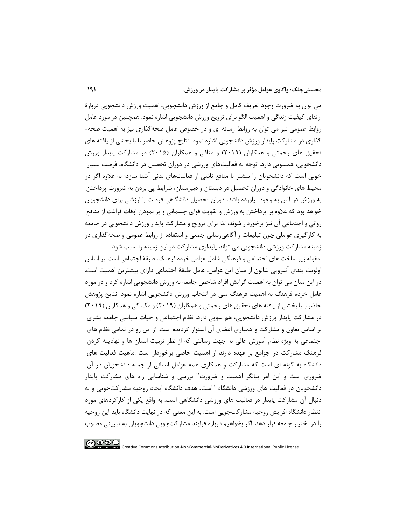می توان به ضرورت وجود تعریف کامل و جامع از ورزش دانشجویی، اهمیت ورزش دانشجویی دربارة ارتقای کیفیت زندگی و اهمیت الگو برای ترویج ورزش دانشجویی اشاره نمود. همچنین در مورد عامل روابط عمومی نیز می توان به روابط رسانه ای و در خصوص عامل صحهگذاری نیز به اهمیت صحه- گذاری در مشارکت پایدار ورزش دانشجویی اشاره نمود. نتایج پژوهش حاضر با با بخشی از یافته های تحقیق های رحمتی و همکاران )2019( و منافی و همکاران )2015( در مشارکت پایدار ورزش دانشجویی، همسویی دارد. توجه به فعالیتهای ورزشی در دوران تحصیل در دانشگاه، فرصت بسیار خوبی است که دانشجویان را بیشتر با منافع ناشی از فعالیتهای بدنی آشنا سازد؛ به عالوه اگر در محیط های خانوادگی و دوران تحصیل در دبستان و دبیرستان، شرایط پی بردن به ضرورت پرداختن به ورزش در آنان به وجود نیاورده باشد، دوران تحصیل دانشگاهی فرصت با ارزشی برای دانشجویان خواهد بود که عالوه بر پرداختن به ورزش و تقویت قوای جسمانی و پر نمودن اوقات فراغت از منافع روانی و اجتماعی آن نیز برخوردار شوند، لذا برای ترویج و مشارکت پایدار ورزش دانشجویی در جامعه به کارگیری عواملی چون تبلیغات و آگاهیرسانی جمعی و استفاده از روابط عمومی و صحهگذاری در زمینه مشارکت ورزشی دانشجویی می تواند پایداری مشارکت در این زمینه را سبب شود.

مقوله زیر ساخت های اجتماعی و فرهنگی شامل عوامل خرده فرهنگ، طبقة اجتماعی است. بر اساس اولویت بندی آنتروپی شانون از میان این عوامل، عامل طبقة اجتماعی دارای بیشترین اهمیت است. در این میان می توان به اهمیت گرایش افراد شاخص جامعه به ورزش دانشجویی اشاره کرد و در مورد عامل خرده فرهنگ به اهمیت فرهنگ ملی در انتخاب ورزش دانشجویی اشاره نمود. نتایج پژوهش حاضر با با بخشی از یافته های تحقیق های رحمتی و همکاران )2019( و مک کی و همکاران )2019( در مشارکت پایدار ورزش دانشجویی، هم سویی دارد. نظام اجتماعی و حیات سیاسی جامعه بشری بر اساس تعاون و مشارکت و همیاری اعضای آن استوار گردیده است. از این رو در تمامی نظام های اجتماعی به ویژه نظام آموزش عالی به جهت رسالتی که از نظر تربیت انسان ها و نهادینه کردن فرهنگ مشارکت در جوامع بر عهده دارند از اهمیت خاصی برخوردار است .ماهیت فعالیت های دانشگاه به گونه ای است که مشارکت و همکاری همه عوامل انسانی از جمله دانشجویان در آن ضروری است و این امر بیانگر اهمیت و ضرورت" بررسی و شناسایی راه های مشارکت پایدار دانشجویان در فعالیت های ورزشی دانشگاه "است. هدف دانشگاه ایجاد روحیه مشارکت جویی و به دنبال آن مشارکت پایدار در فعالیت های ورزشی دانشگاهی است. به واقع یکی از کارکردهای مورد انتظار دانشگاه افزایش روحیه مشارکتجویی است. به این معنی که در نهایت دانشگاه باید این روحیه را در اختیار جامعه قرار دهد . اگر بخواهیم درباره فرایند مشارکتجویی دانشجویان به تبیینی مطلوب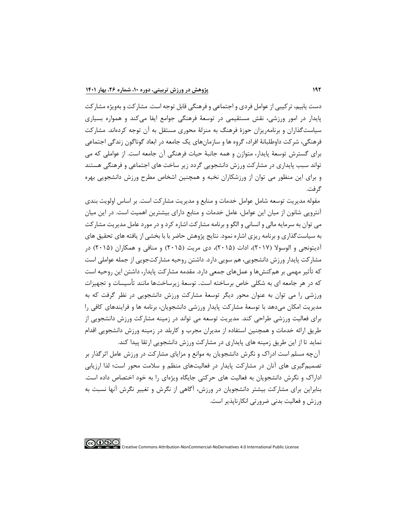دست یابیم، ترکیبی از عوامل فردی و اجتماعی و فرهنگی قابل توجه است. مشارکت و بهویژه مشارکت پایدار در امور ورزشی، نقش مستقیمی در توسعة فرهنگی جوامع ایفا میکند و همواره بسیاری سیاستگذاران و برنامهریزان حوزة فرهنگ به منزلة محوری مستقل به آن توجه کرده اند. مشارکت فرهنگی، شرکت داوطلبانة افراد، گروه ها و سازمانهای یک جامعه در ابعاد گوناگون زندگی اجتماعی برای گسترش توسعة پایدار، متوازن و همه جانبة حیات فرهنگی آن جامعه است. از عواملی که می تواند سبب پایداری در مشارکت ورزش دانشجویی گردد زیر ساخت های اجتماعی و فرهنگی هستند و برای این منظور می توان از ورزشکاران نخبه و همچنین اشخاص مطرح ورزش دانشجویی بهره گرفت.

مقوله مدیریت توسعه شامل عوامل خدمات و منابع و مدیریت مشارکت است. بر اساس اولویت بندی آنتروپی شانون از میان این عوامل، عامل خدمات و منابع دارای بیشترین اهمیت است. در این میان می توان به سرمایه مالی و انسانی و الگو و برنامه مشارکت اشاره کرد و در مورد عامل مدیریت مشارکت به سیاستگذاری و برنامه ریزی اشاره نمود. نتایج پژوهش حاضر با با بخشی از یافته های تحقیق های آدیتونجی و الوسولا (۲۰۱۷)، ادات (۲۰۱۵)، دی مریت (۲۰۱۵) و منافی و همکاران (۲۰۱۵) در مشارکت پایدار ورزش دانشجویی، هم سویی دارد. داشتن روحیه مشارکتجویی از جمله عواملی است که تأثیر مهمی بر همکنشها و عملهای جمعی دارد. مقدمه مشارکت پایدار، داشتن این روحیه است که در هر جامعه ای به شکلی خاص برساخته است. توسعة زیرساختها مانند تأسیسات و تجهیزات ورزشی را می توان به عنوان محور دیگر توسعة مشارکت ورزش دانشجویی در نظر گرفت که به مدیریت امکان میدهد با توسعة مشارکت پایدار ورزشی دانشجویان، برنامه ها و فرایندهای کافی را برای فعالیت ورزشی طراحی کند. مدیریت توسعه می تواند در زمینه مشارکت ورزش دانشجویی از طریق ارائه خدمات و همچنین استفاده از مدیران مجرب و کاربلد در زمینه ورزش دانشجویی اقدام نماید تا از این طریق زمینه های پایداری در مشارکت ورزش دانشجویی ارتقا پیدا کند.

آنچه مسلم است ادراک و نگرش دانشجویان به موانع و مزایای مشارکت در ورزش عامل اثرگذار بر تصمیمگیری های آنان در مشارکت پایدار در فعالیتهای منظم و سالمت محور است؛ لذا ارزیابی اداراک و نگرش دانشجویان به فعالیت های حرکتی جایگاه ویژهای را به خود اختصاص داده است. بنابراین برای مشارکت بیشتر دانشجویان در ورزش، آگاهی از نگرش و تغییر نگرش آنها نسبت به ورزش و فعالیت بدنی ضرورتی انکارناپذیر است.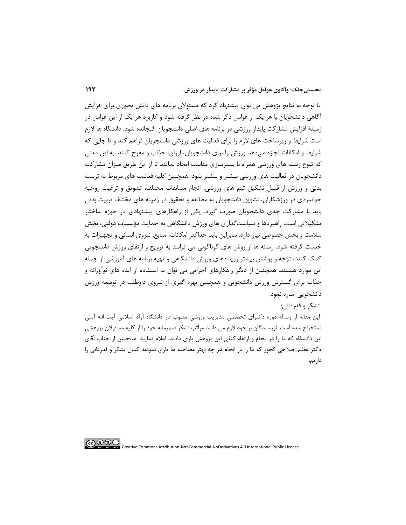با توجه به نتایج پژوهش می توان پیشنهاد کرد که مسئوالن برنامه های دانش محوری برای افزایش آگاهی دانشجویان با هر یک از عوامل ذکر شده در نظر گرفته شود و کاربرد هر یک از این عوامل در زمینة افزایش مشارکت پایدار ورزشی در برنامه های اصلی دانشجویان گنجانده شود. دانشگاه ها الزم است شرایط و زیرساخت های الزم را برای فعالیت های ورزشی دانشجویان فراهم کند و تا جایی که شرایط و امکانات اجازه میدهد ورزش را برای دانشجویان، ارزان، جذاب و مفرح کنند. به این معنی که تنوع رشته های ورزشی همراه با بسترسازی مناسب ایجاد نمایند تا از این طریق میزان مشارکت دانشجویان در فعالیت های ورزشی بیشتر و بیشتر شود. همچنین کلیه فعالیت های مربوط به تربیت بدنی و ورزش از قبیل تشکیل تیم های ورزشی، انجام مسابقات مختلف، تشویق و ترغیب روحیه جوانمردی در ورزشکاران، تشویق دانشجویان به مطالعه و تحقیق در زمینه های مختلف تربیت بدنی باید با مشارکت جدی دانشجویان صورت گیرد. یکی از راهکارهای پیشنهادی در حوزه ساختار تشکیالتی است. راهبردها و سیاستگذاری های ورزش دانشگاهی به حمایت مؤسسات دولتی، بخش سالمت و بخش خصوصی نیاز دارد. بنابراین باید حداکثر امکانات، منابع، نیروی انسانی و تجهیزات به خدمت گرفته شود. رسانه ها از روش های گوناگونی می توانند به ترویج و ارتقای ورزش دانشجویی کمک کنند، توجه و پوشش بیشتر رویدادهای ورزش دانشگاهی و تهیه برنامه های آموزشی از جمله این موارد هستند. همچنین از دیگر راهکارهای اجرایی می توان به استفاده از ایده های نوآورانه و جذاب برای گسترش ورزش دانشجویی و همچنین بهره گیری از نیروی داوطلب در توسعه ورزش دانشجویی اشاره نمود.

## تشکر و قدردانی:

این مقاله از رساله دوره دکترای تخصصی مدیریت ورزشی مصوب در دانشگاه آزاد اسلامی آیت الله آملی استخراج شده است. نویسندگان بر خود الزم می دانند مراتب تشکر صمیمانه خود را از کلیه مسئوالن پژوهشی این دانشگاه که ما را در انجام و ارتقاء کیفی این پژوهش یاری دادند، اعالم نمایند. همچنین از جناب آقای دکتر عظیم صالحی کجور که ما را در انجام هر چه بهتر مصاحبه ها یاری نمودند کمال تشکر و قدردانی را داریم.

∣⊚⊕⊕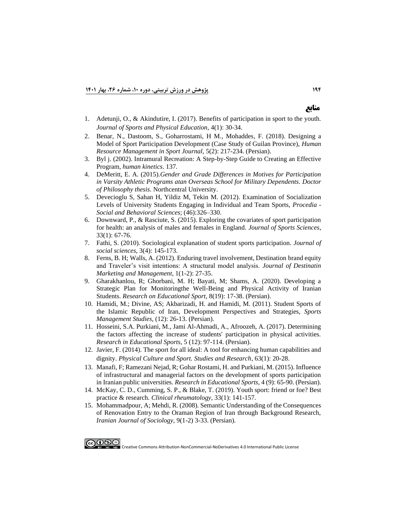- 1. [Adetunji, O., & Akindutire, I. \(2017\). Benefits of participation in sport to the youth.](https://www.researchgate.net/profile/Isaac-Akindutire/publication/313359898_Benefits_of_Participation_in_Sport_to_the_Youth/links/5c0173b3a6fdcc1b8d4cfab9/Benefits-of-Participation-in-Sport-to-the-Youth.pdf)  *[Journal of Sports and Physical Education](https://www.researchgate.net/profile/Isaac-Akindutire/publication/313359898_Benefits_of_Participation_in_Sport_to_the_Youth/links/5c0173b3a6fdcc1b8d4cfab9/Benefits-of-Participation-in-Sport-to-the-Youth.pdf)*, 4(1): 30-34.
- 2. [Benar, N., Dastoom, S., Goharrostami, H M., Mohaddes, F. \(2018\). Designing a](http://shm.shahroodut.ac.ir/article_1286.html)  [Model of Sport Participation Development \(Case Study of Guilan Province\),](http://shm.shahroodut.ac.ir/article_1286.html) *Human Resource [Management in Sport Journal,](http://shm.shahroodut.ac.ir/article_1286.html)* 5(2): 217-234. (Persian).
- 3. [Byl j. \(2002\). Intramural Recreation: A Step-by-Step Guide to Creating an Effective](https://search.proquest.com/openview/51ddb9a08a141220fe606f6ac7f0076e/1?pq-origsite=gscholar&cbl=42913)  Program, *[human kinetics](https://search.proquest.com/openview/51ddb9a08a141220fe606f6ac7f0076e/1?pq-origsite=gscholar&cbl=42913)*. 137.
- 4. DeMeritt, E. A. (2015).*[Gender and Grade Differences in Motives for Participation](https://search.proquest.com/openview/35de96a70c001620f34c67a1a27f33b8/1?pq-origsite=gscholar&cbl=18750&diss=y)  [in Varsity Athletic Programs atan Overseas School for Military Dependents. Doctor](https://search.proquest.com/openview/35de96a70c001620f34c67a1a27f33b8/1?pq-origsite=gscholar&cbl=18750&diss=y)  of Philosophy thesis*. [Northcentral University.](https://search.proquest.com/openview/35de96a70c001620f34c67a1a27f33b8/1?pq-origsite=gscholar&cbl=18750&diss=y)
- 5. [Devecioglu S, Sahan H, Yildiz M, Tekin M.](https://core.ac.uk/download/pdf/81928127.pdf) (2012). Examination of Socialization [Levels of University Students Engaging in Individual and Team Sports,](https://core.ac.uk/download/pdf/81928127.pdf) *Procedia - [Social and Behavioral](https://core.ac.uk/download/pdf/81928127.pdf) Sciences*; (46):326–330.
- 6. [Downward, P., & Rasciute, S. \(2015\). Exploring the covariates of sport participation](https://www.tandfonline.com/doi/abs/10.1080/02640414.2014.924056)  [for health: an analysis of males and females in England.](https://www.tandfonline.com/doi/abs/10.1080/02640414.2014.924056) *Journal of Sports Sciences*, [33\(1\):](https://www.tandfonline.com/doi/abs/10.1080/02640414.2014.924056) 67-76.
- 7. [Fathi, S. \(2010\). Sociological explanation of student sports participation.](https://www.sid.ir/fa/journal/ViewPaper.aspx?ID=118682) *Journal of [social sciences](https://www.sid.ir/fa/journal/ViewPaper.aspx?ID=118682)*, 3(4): 145-173.
- 8. [Ferns, B. H; Walls, A. \(2012\). Enduring travel involvement, Destination brand equity](https://www.sciencedirect.com/science/article/pii/S2212571X12000078)  [and Traveler's visit intentions: A structural model analysis.](https://www.sciencedirect.com/science/article/pii/S2212571X12000078) *Journal of Destinatin [Marketing and](https://www.sciencedirect.com/science/article/pii/S2212571X12000078) Management*, 1(1-2): 27-35.
- 9. [Gharakhanlou, R; Ghorbani, M. H; Bayati, M; Shams, A. \(2020\). Developing a](https://res.ssrc.ac.ir/article_2001_337645ccf6d91f2a4a845ea35bf14255.pdf)  [Strategic Plan for Monitoringthe Well-Being and Physical Activity of Iranian](https://res.ssrc.ac.ir/article_2001_337645ccf6d91f2a4a845ea35bf14255.pdf)  Students. *Research on Educational Sport*[, 8\(19\): 17-38. \(Persian\).](https://res.ssrc.ac.ir/article_2001_337645ccf6d91f2a4a845ea35bf14255.pdf)
- 10. [Hamidi, M.; Divine, AS; Akbarizadi, H. and Hamidi, M. \(2011\). Student Sports of](http://ensani.ir/fa/article/310046/%D9%88%D8%B1%D8%B2%D8%B4-%D8%AF%D8%A7%D9%86%D8%B4%D8%AC%D9%88%DB%8C%DB%8C-%D8%AC%D9%85%D9%87%D9%88%D8%B1%DB%8C-%D8%A7%D8%B3%D9%84%D8%A7%D9%85%DB%8C-%D8%A7%DB%8C%D8%B1%D8%A7%D9%86-%DA%86%D8%B4%D9%85-%D8%A7%D9%86%D8%AF%D8%A7%D8%B2-%D9%88-%D8%B1%D8%A7%D9%87%D8%A8%D8%B1%D8%AF%D9%87%D8%A7%DB%8C-%D8%AA%D9%88%D8%B3%D8%B9%D9%87)  [the Islamic Republic of Iran, Development Perspectives and Strategies,](http://ensani.ir/fa/article/310046/%D9%88%D8%B1%D8%B2%D8%B4-%D8%AF%D8%A7%D9%86%D8%B4%D8%AC%D9%88%DB%8C%DB%8C-%D8%AC%D9%85%D9%87%D9%88%D8%B1%DB%8C-%D8%A7%D8%B3%D9%84%D8%A7%D9%85%DB%8C-%D8%A7%DB%8C%D8%B1%D8%A7%D9%86-%DA%86%D8%B4%D9%85-%D8%A7%D9%86%D8%AF%D8%A7%D8%B2-%D9%88-%D8%B1%D8%A7%D9%87%D8%A8%D8%B1%D8%AF%D9%87%D8%A7%DB%8C-%D8%AA%D9%88%D8%B3%D8%B9%D9%87) *Sports Management Studies*[, \(12\): 26-13. \(Persian\).](http://ensani.ir/fa/article/310046/%D9%88%D8%B1%D8%B2%D8%B4-%D8%AF%D8%A7%D9%86%D8%B4%D8%AC%D9%88%DB%8C%DB%8C-%D8%AC%D9%85%D9%87%D9%88%D8%B1%DB%8C-%D8%A7%D8%B3%D9%84%D8%A7%D9%85%DB%8C-%D8%A7%DB%8C%D8%B1%D8%A7%D9%86-%DA%86%D8%B4%D9%85-%D8%A7%D9%86%D8%AF%D8%A7%D8%B2-%D9%88-%D8%B1%D8%A7%D9%87%D8%A8%D8%B1%D8%AF%D9%87%D8%A7%DB%8C-%D8%AA%D9%88%D8%B3%D8%B9%D9%87)
- 11. [Hosseini, S.A. Purkiani, M., Jami Al-Ahmadi, A., Afroozeh, A. \(2017\). Determining](http://ensani.ir/fa/article/374343/%D8%AA%D8%B9%DB%8C%DB%8C%D9%86-%D8%B9%D9%88%D8%A7%D9%85%D9%84-%D9%85%D8%A4%D8%AB%D8%B1-%D8%A8%D8%B1-%D8%A7%D9%81%D8%B2%D8%A7%DB%8C%D8%B4-%D9%85%D8%B4%D8%A7%D8%B1%DA%A9%D8%AA-%D8%AF%D8%A7%D9%86%D8%B4%D8%AC%D9%88%DB%8C%D8%A7%D9%86-%D8%AF%D8%B1-%D9%81%D8%B9%D8%A7%D9%84%DB%8C%D8%AA-%D9%87%D8%A7%DB%8C-%D8%A8%D8%AF%D9%86%DB%8C)  [the factors affecting the increase of students' participation in physical activities.](http://ensani.ir/fa/article/374343/%D8%AA%D8%B9%DB%8C%DB%8C%D9%86-%D8%B9%D9%88%D8%A7%D9%85%D9%84-%D9%85%D8%A4%D8%AB%D8%B1-%D8%A8%D8%B1-%D8%A7%D9%81%D8%B2%D8%A7%DB%8C%D8%B4-%D9%85%D8%B4%D8%A7%D8%B1%DA%A9%D8%AA-%D8%AF%D8%A7%D9%86%D8%B4%D8%AC%D9%88%DB%8C%D8%A7%D9%86-%D8%AF%D8%B1-%D9%81%D8%B9%D8%A7%D9%84%DB%8C%D8%AA-%D9%87%D8%A7%DB%8C-%D8%A8%D8%AF%D9%86%DB%8C)  *Research in [Educational Sports](http://ensani.ir/fa/article/374343/%D8%AA%D8%B9%DB%8C%DB%8C%D9%86-%D8%B9%D9%88%D8%A7%D9%85%D9%84-%D9%85%D8%A4%D8%AB%D8%B1-%D8%A8%D8%B1-%D8%A7%D9%81%D8%B2%D8%A7%DB%8C%D8%B4-%D9%85%D8%B4%D8%A7%D8%B1%DA%A9%D8%AA-%D8%AF%D8%A7%D9%86%D8%B4%D8%AC%D9%88%DB%8C%D8%A7%D9%86-%D8%AF%D8%B1-%D9%81%D8%B9%D8%A7%D9%84%DB%8C%D8%AA-%D9%87%D8%A7%DB%8C-%D8%A8%D8%AF%D9%86%DB%8C)*, 5 (12): 97-114. (Persian).
- 12. [Javier, F. \(2014\). The sport for all ideal: A tool for enhancing human capabilities and](https://content.sciendo.com/configurable/contentpage/journals$002fpcssr$002f63$002f1$002farticle-p20.xml)  dignity. *[Physical Culture and Sport. Studies and Research](https://content.sciendo.com/configurable/contentpage/journals$002fpcssr$002f63$002f1$002farticle-p20.xml)*, 63(1): 20-28.
- 13. [Manafi, F; Ramezani Nejad, R; Gohar Rostami, H. and Purkiani, M. \(2015\). Influence](https://res.ssrc.ac.ir/article_617_a3ae5a6240790ee90d6a3f985911c2a8.pdf)  [of infrastructural and managerial factors on the development of sports participation](https://res.ssrc.ac.ir/article_617_a3ae5a6240790ee90d6a3f985911c2a8.pdf)  in Iranian public universities. *[Research in Educational Sports](https://res.ssrc.ac.ir/article_617_a3ae5a6240790ee90d6a3f985911c2a8.pdf)*, 4 (9) : 65-90. (Persian).
- 14. [McKay, C. D., Cumming, S. P., & Blake, T. \(2019\). Youth sport: friend or foe?](https://www.sciencedirect.com/science/article/abs/pii/S152169421930018X?via%3Dihub) Best practice & research*. [Clinical rheumatology](https://www.sciencedirect.com/science/article/abs/pii/S152169421930018X?via%3Dihub)*, 33(1): 141-157.
- 15. [Mohammadpour, A; Mehdi, R. \(2008\). Semantic Understanding of the Consequences](http://www.jsi-isa.ir/article_21801.html)  [of Renovation Entry to the Oraman Region of Iran through Background Research,](http://www.jsi-isa.ir/article_21801.html)  *Iranian Journal of Sociology*[, 9\(1-2\) 3-33. \(Persian\).](http://www.jsi-isa.ir/article_21801.html)